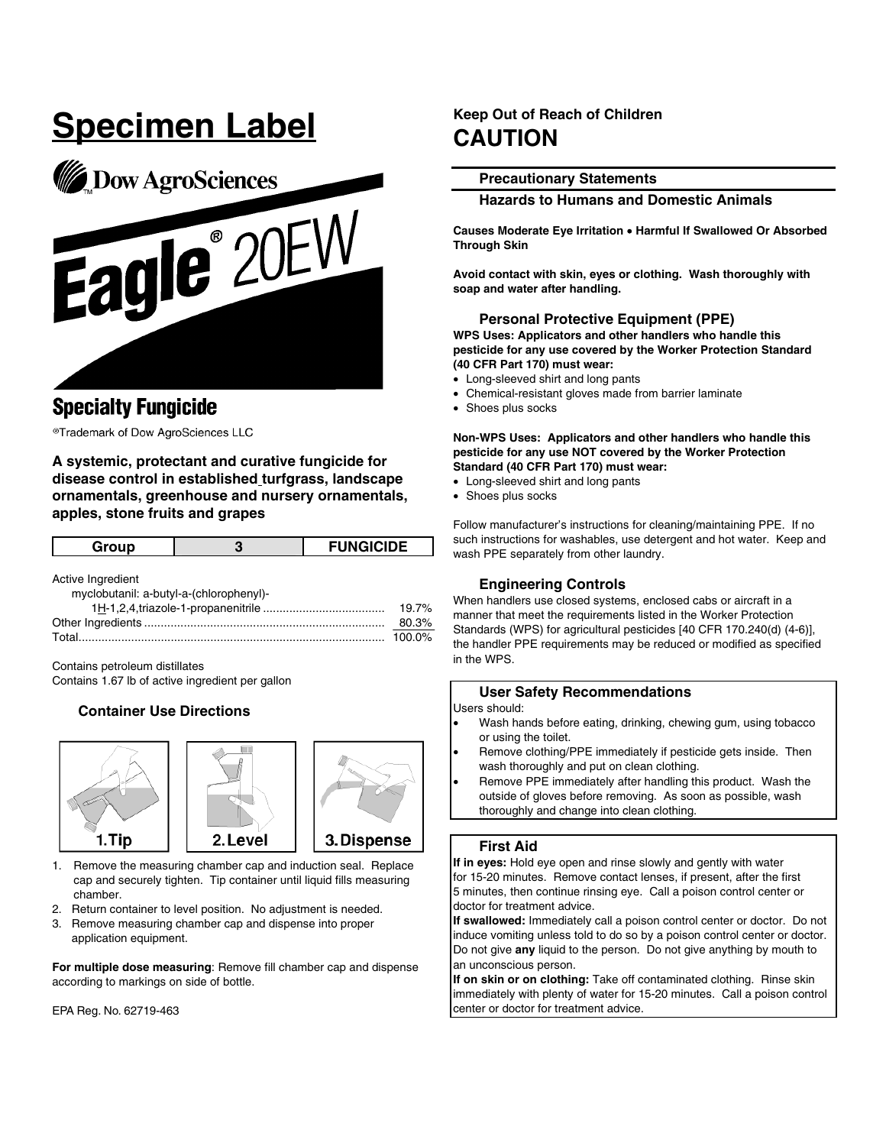# **Specimen Label**



# **Specialty Fungicide**

®Trademark of Dow AgroSciences LLC

**A systemic, protectant and curative fungicide for disease control in established turfgrass, landscape ornamentals, greenhouse and nursery ornamentals, apples, stone fruits and grapes** 

| τn | <b>FUNGICIDE</b> |
|----|------------------|
|    |                  |

Active Ingredient

| myclobutanil: a-butyl-a-(chlorophenyl)- |       |
|-----------------------------------------|-------|
|                                         | 19.7% |

| 80.3%  |
|--------|
| 100.0% |

Contains petroleum distillates

Contains 1.67 lb of active ingredient per gallon

# **Container Use Directions**







- 1. Remove the measuring chamber cap and induction seal. Replace cap and securely tighten. Tip container until liquid fills measuring chamber.
- 2. Return container to level position. No adjustment is needed.
- 3. Remove measuring chamber cap and dispense into proper application equipment.

**For multiple dose measuring**: Remove fill chamber cap and dispense according to markings on side of bottle.

EPA Reg. No. 62719-463

# **Keep Out of Reach of Children CAUTION**

#### **Precautionary Statements**

**Hazards to Humans and Domestic Animals** 

**Causes Moderate Eye Irritation** • **Harmful If Swallowed Or Absorbed Through Skin** 

**Avoid contact with skin, eyes or clothing. Wash thoroughly with soap and water after handling.** 

# **Personal Protective Equipment (PPE)**

**WPS Uses: Applicators and other handlers who handle this pesticide for any use covered by the Worker Protection Standard (40 CFR Part 170) must wear:** 

- Long-sleeved shirt and long pants
- Chemical-resistant gloves made from barrier laminate
- Shoes plus socks

**Non-WPS Uses: Applicators and other handlers who handle this pesticide for any use NOT covered by the Worker Protection Standard (40 CFR Part 170) must wear:**

- Long-sleeved shirt and long pants
- Shoes plus socks

Follow manufacturer's instructions for cleaning/maintaining PPE. If no such instructions for washables, use detergent and hot water. Keep and wash PPE separately from other laundry.

# **Engineering Controls**

When handlers use closed systems, enclosed cabs or aircraft in a manner that meet the requirements listed in the Worker Protection Standards (WPS) for agricultural pesticides [40 CFR 170.240(d) (4-6)], the handler PPE requirements may be reduced or modified as specified in the WPS.

# **User Safety Recommendations**

Users should:

- Wash hands before eating, drinking, chewing gum, using tobacco or using the toilet. • Remove clothing/PPE immediately if pesticide gets inside. Then
- wash thoroughly and put on clean clothing.
- Remove PPE immediately after handling this product. Wash the outside of gloves before removing. As soon as possible, wash thoroughly and change into clean clothing.

### **First Aid**

**If in eyes:** Hold eye open and rinse slowly and gently with water for 15-20 minutes. Remove contact lenses, if present, after the first 5 minutes, then continue rinsing eye. Call a poison control center or doctor for treatment advice.

**If swallowed:** Immediately call a poison control center or doctor. Do not induce vomiting unless told to do so by a poison control center or doctor. Do not give **any** liquid to the person. Do not give anything by mouth to an unconscious person.

**If on skin or on clothing:** Take off contaminated clothing. Rinse skin immediately with plenty of water for 15-20 minutes. Call a poison control center or doctor for treatment advice.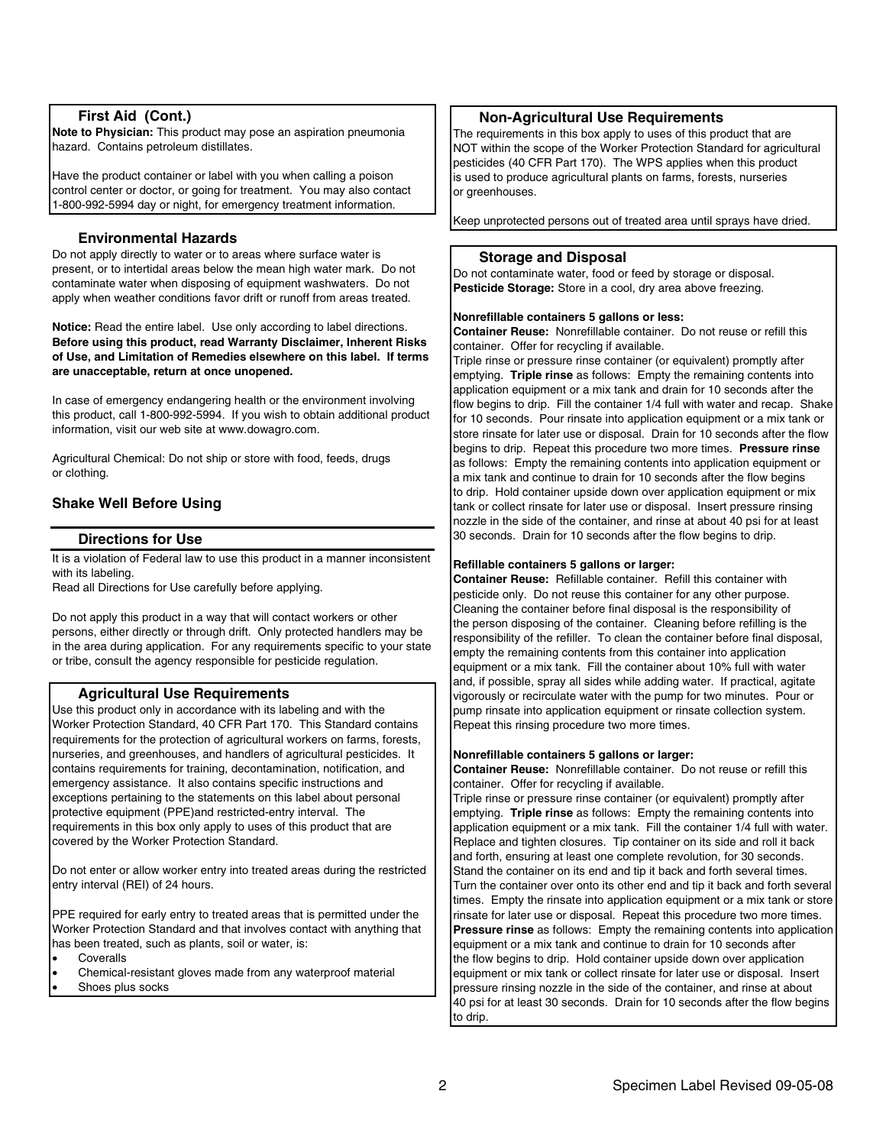# **First Aid (Cont.)**

**Note to Physician:** This product may pose an aspiration pneumonia hazard. Contains petroleum distillates.

Have the product container or label with you when calling a poison control center or doctor, or going for treatment. You may also contact 1-800-992-5994 day or night, for emergency treatment information.

# **Environmental Hazards**

Do not apply directly to water or to areas where surface water is present, or to intertidal areas below the mean high water mark. Do not contaminate water when disposing of equipment washwaters. Do not apply when weather conditions favor drift or runoff from areas treated.

**Notice:** Read the entire label. Use only according to label directions. **Before using this product, read Warranty Disclaimer, Inherent Risks of Use, and Limitation of Remedies elsewhere on this label. If terms are unacceptable, return at once unopened.** 

In case of emergency endangering health or the environment involving this product, call 1-800-992-5994. If you wish to obtain additional product information, visit our web site at www.dowagro.com.

Agricultural Chemical: Do not ship or store with food, feeds, drugs or clothing.

# **Shake Well Before Using**

# **Directions for Use**

It is a violation of Federal law to use this product in a manner inconsistent with its labeling.

Read all Directions for Use carefully before applying.

Do not apply this product in a way that will contact workers or other persons, either directly or through drift. Only protected handlers may be in the area during application. For any requirements specific to your state or tribe, consult the agency responsible for pesticide regulation.

# **Agricultural Use Requirements**

Use this product only in accordance with its labeling and with the Worker Protection Standard, 40 CFR Part 170. This Standard contains requirements for the protection of agricultural workers on farms, forests, nurseries, and greenhouses, and handlers of agricultural pesticides. It contains requirements for training, decontamination, notification, and emergency assistance. It also contains specific instructions and exceptions pertaining to the statements on this label about personal protective equipment (PPE)and restricted-entry interval. The requirements in this box only apply to uses of this product that are covered by the Worker Protection Standard.

Do not enter or allow worker entry into treated areas during the restricted entry interval (REI) of 24 hours.

PPE required for early entry to treated areas that is permitted under the Worker Protection Standard and that involves contact with anything that has been treated, such as plants, soil or water, is:

- **Coveralls**
- Chemical-resistant gloves made from any waterproof material
- Shoes plus socks

### **Non-Agricultural Use Requirements**

The requirements in this box apply to uses of this product that are NOT within the scope of the Worker Protection Standard for agricultural pesticides (40 CFR Part 170). The WPS applies when this product is used to produce agricultural plants on farms, forests, nurseries or greenhouses.

Keep unprotected persons out of treated area until sprays have dried.

# **Storage and Disposal**

Do not contaminate water, food or feed by storage or disposal. **Pesticide Storage:** Store in a cool, dry area above freezing.

#### **Nonrefillable containers 5 gallons or less:**

**Container Reuse:** Nonrefillable container. Do not reuse or refill this container. Offer for recycling if available.

Triple rinse or pressure rinse container (or equivalent) promptly after emptying. **Triple rinse** as follows: Empty the remaining contents into application equipment or a mix tank and drain for 10 seconds after the flow begins to drip. Fill the container 1/4 full with water and recap. Shake for 10 seconds. Pour rinsate into application equipment or a mix tank or store rinsate for later use or disposal. Drain for 10 seconds after the flow begins to drip. Repeat this procedure two more times. **Pressure rinse** as follows: Empty the remaining contents into application equipment or a mix tank and continue to drain for 10 seconds after the flow begins to drip. Hold container upside down over application equipment or mix tank or collect rinsate for later use or disposal. Insert pressure rinsing nozzle in the side of the container, and rinse at about 40 psi for at least 30 seconds. Drain for 10 seconds after the flow begins to drip.

#### **Refillable containers 5 gallons or larger:**

**Container Reuse:** Refillable container. Refill this container with pesticide only. Do not reuse this container for any other purpose. Cleaning the container before final disposal is the responsibility of the person disposing of the container. Cleaning before refilling is the responsibility of the refiller. To clean the container before final disposal, empty the remaining contents from this container into application equipment or a mix tank. Fill the container about 10% full with water and, if possible, spray all sides while adding water. If practical, agitate vigorously or recirculate water with the pump for two minutes. Pour or pump rinsate into application equipment or rinsate collection system. Repeat this rinsing procedure two more times.

#### **Nonrefillable containers 5 gallons or larger:**

**Container Reuse:** Nonrefillable container. Do not reuse or refill this container. Offer for recycling if available.

Triple rinse or pressure rinse container (or equivalent) promptly after emptying. **Triple rinse** as follows: Empty the remaining contents into application equipment or a mix tank. Fill the container 1/4 full with water. Replace and tighten closures. Tip container on its side and roll it back and forth, ensuring at least one complete revolution, for 30 seconds. Stand the container on its end and tip it back and forth several times. Turn the container over onto its other end and tip it back and forth several times. Empty the rinsate into application equipment or a mix tank or store rinsate for later use or disposal. Repeat this procedure two more times. **Pressure rinse** as follows: Empty the remaining contents into application equipment or a mix tank and continue to drain for 10 seconds after the flow begins to drip. Hold container upside down over application equipment or mix tank or collect rinsate for later use or disposal. Insert pressure rinsing nozzle in the side of the container, and rinse at about 40 psi for at least 30 seconds. Drain for 10 seconds after the flow begins to drip.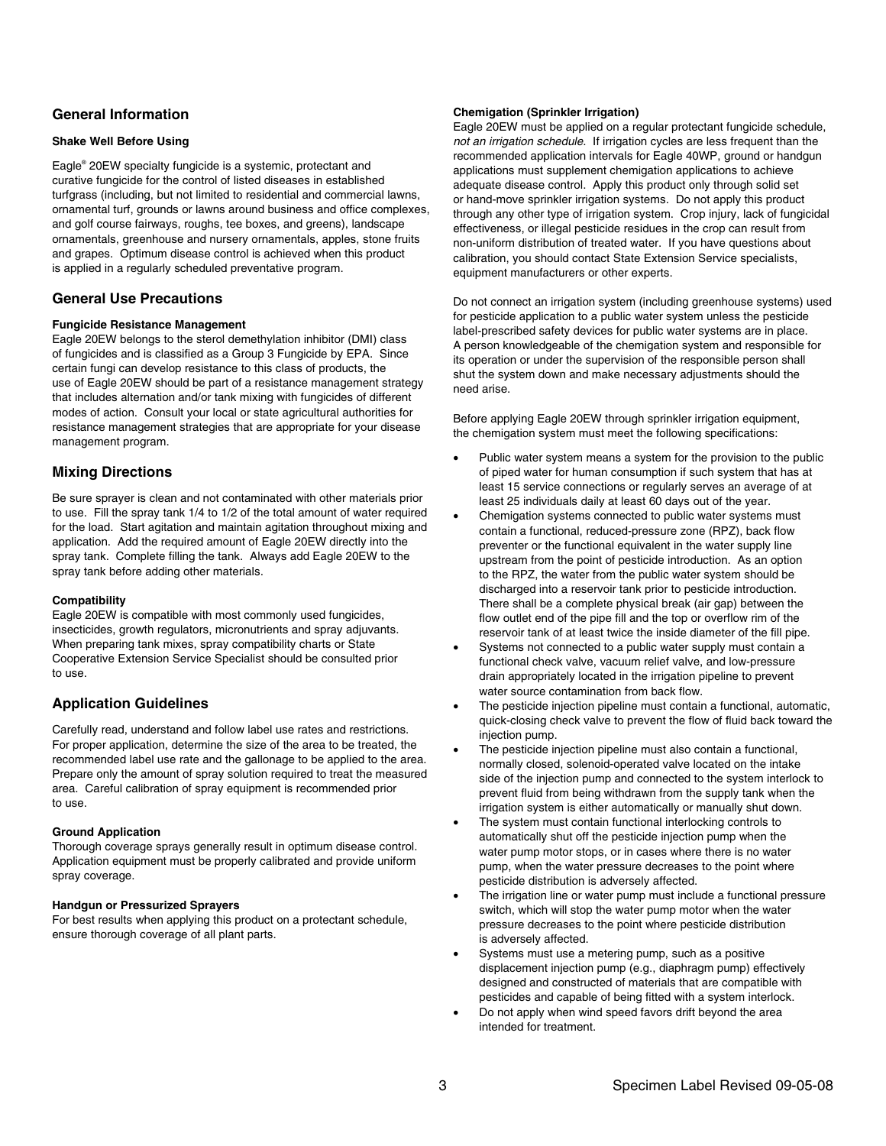# **General Information**

## **Shake Well Before Using**

Eagle® 20EW specialty fungicide is a systemic, protectant and curative fungicide for the control of listed diseases in established turfgrass (including, but not limited to residential and commercial lawns, ornamental turf, grounds or lawns around business and office complexes, and golf course fairways, roughs, tee boxes, and greens), landscape ornamentals, greenhouse and nursery ornamentals, apples, stone fruits and grapes. Optimum disease control is achieved when this product is applied in a regularly scheduled preventative program.

# **General Use Precautions**

#### **Fungicide Resistance Management**

Eagle 20EW belongs to the sterol demethylation inhibitor (DMI) class of fungicides and is classified as a Group 3 Fungicide by EPA. Since certain fungi can develop resistance to this class of products, the use of Eagle 20EW should be part of a resistance management strategy that includes alternation and/or tank mixing with fungicides of different modes of action. Consult your local or state agricultural authorities for resistance management strategies that are appropriate for your disease management program.

# **Mixing Directions**

Be sure sprayer is clean and not contaminated with other materials prior to use. Fill the spray tank 1/4 to 1/2 of the total amount of water required for the load. Start agitation and maintain agitation throughout mixing and application. Add the required amount of Eagle 20EW directly into the spray tank. Complete filling the tank. Always add Eagle 20EW to the spray tank before adding other materials.

#### **Compatibility**

Eagle 20EW is compatible with most commonly used fungicides, insecticides, growth regulators, micronutrients and spray adjuvants. When preparing tank mixes, spray compatibility charts or State Cooperative Extension Service Specialist should be consulted prior to use.

# **Application Guidelines**

Carefully read, understand and follow label use rates and restrictions. For proper application, determine the size of the area to be treated, the recommended label use rate and the gallonage to be applied to the area. Prepare only the amount of spray solution required to treat the measured area. Careful calibration of spray equipment is recommended prior to use.

#### **Ground Application**

Thorough coverage sprays generally result in optimum disease control. Application equipment must be properly calibrated and provide uniform spray coverage.

#### **Handgun or Pressurized Sprayers**

For best results when applying this product on a protectant schedule, ensure thorough coverage of all plant parts.

#### **Chemigation (Sprinkler Irrigation)**

Eagle 20EW must be applied on a regular protectant fungicide schedule, not an irrigation schedule. If irrigation cycles are less frequent than the recommended application intervals for Eagle 40WP, ground or handgun applications must supplement chemigation applications to achieve adequate disease control. Apply this product only through solid set or hand-move sprinkler irrigation systems. Do not apply this product through any other type of irrigation system. Crop injury, lack of fungicidal effectiveness, or illegal pesticide residues in the crop can result from non-uniform distribution of treated water. If you have questions about calibration, you should contact State Extension Service specialists, equipment manufacturers or other experts.

Do not connect an irrigation system (including greenhouse systems) used for pesticide application to a public water system unless the pesticide label-prescribed safety devices for public water systems are in place. A person knowledgeable of the chemigation system and responsible for its operation or under the supervision of the responsible person shall shut the system down and make necessary adjustments should the need arise.

Before applying Eagle 20EW through sprinkler irrigation equipment, the chemigation system must meet the following specifications:

- Public water system means a system for the provision to the public of piped water for human consumption if such system that has at least 15 service connections or regularly serves an average of at least 25 individuals daily at least 60 days out of the year.
- Chemigation systems connected to public water systems must contain a functional, reduced-pressure zone (RPZ), back flow preventer or the functional equivalent in the water supply line upstream from the point of pesticide introduction. As an option to the RPZ, the water from the public water system should be discharged into a reservoir tank prior to pesticide introduction. There shall be a complete physical break (air gap) between the flow outlet end of the pipe fill and the top or overflow rim of the reservoir tank of at least twice the inside diameter of the fill pipe.
- Systems not connected to a public water supply must contain a functional check valve, vacuum relief valve, and low-pressure drain appropriately located in the irrigation pipeline to prevent water source contamination from back flow.
- The pesticide injection pipeline must contain a functional, automatic, quick-closing check valve to prevent the flow of fluid back toward the injection pump.
- The pesticide injection pipeline must also contain a functional, normally closed, solenoid-operated valve located on the intake side of the injection pump and connected to the system interlock to prevent fluid from being withdrawn from the supply tank when the irrigation system is either automatically or manually shut down.
- The system must contain functional interlocking controls to automatically shut off the pesticide injection pump when the water pump motor stops, or in cases where there is no water pump, when the water pressure decreases to the point where pesticide distribution is adversely affected.
- The irrigation line or water pump must include a functional pressure switch, which will stop the water pump motor when the water pressure decreases to the point where pesticide distribution is adversely affected.
- Systems must use a metering pump, such as a positive displacement injection pump (e.g., diaphragm pump) effectively designed and constructed of materials that are compatible with pesticides and capable of being fitted with a system interlock.
- Do not apply when wind speed favors drift beyond the area intended for treatment.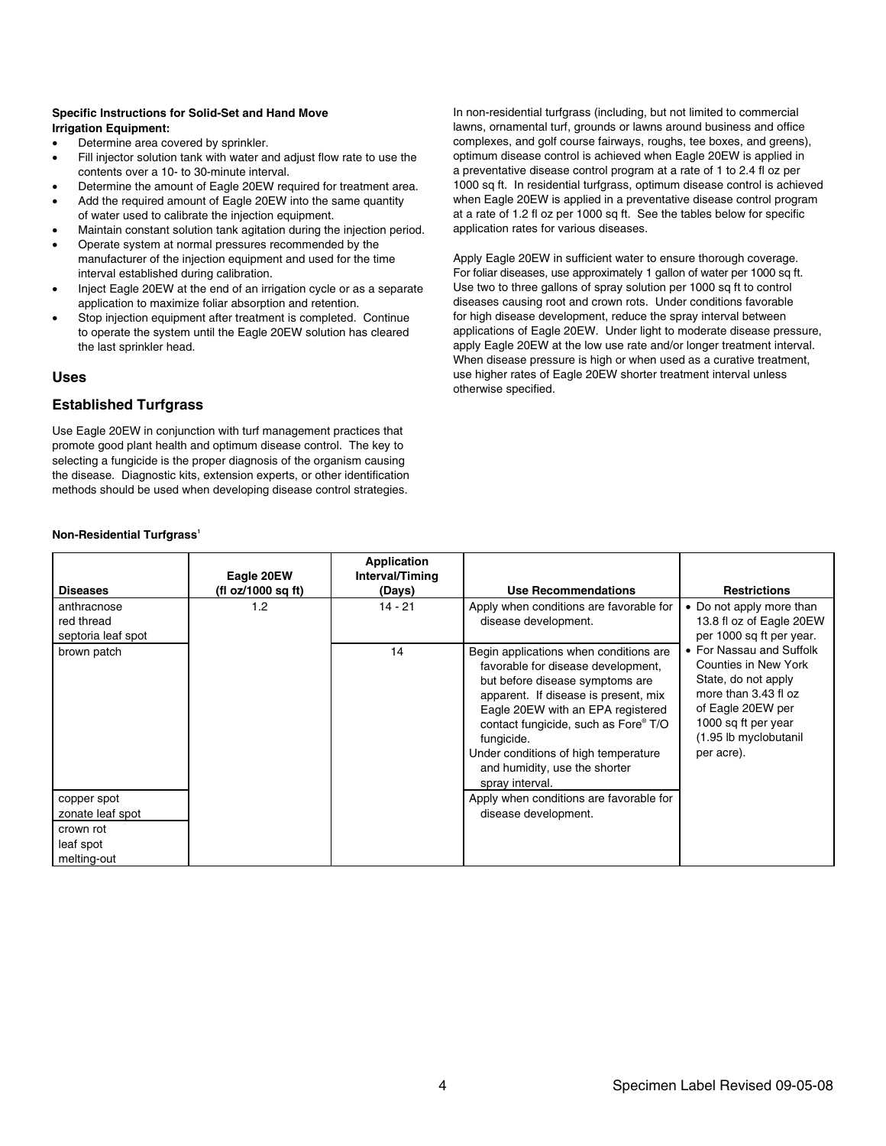#### **Specific Instructions for Solid-Set and Hand Move Irrigation Equipment:**

- Determine area covered by sprinkler.
- Fill injector solution tank with water and adjust flow rate to use the contents over a 10- to 30-minute interval.
- Determine the amount of Eagle 20EW required for treatment area. Add the required amount of Eagle 20EW into the same quantity
- of water used to calibrate the injection equipment. • Maintain constant solution tank agitation during the injection period.
- Operate system at normal pressures recommended by the manufacturer of the injection equipment and used for the time interval established during calibration.
- Inject Eagle 20EW at the end of an irrigation cycle or as a separate application to maximize foliar absorption and retention.
- Stop injection equipment after treatment is completed. Continue to operate the system until the Eagle 20EW solution has cleared the last sprinkler head.

# **Uses**

# **Established Turfgrass**

Use Eagle 20EW in conjunction with turf management practices that promote good plant health and optimum disease control. The key to selecting a fungicide is the proper diagnosis of the organism causing the disease. Diagnostic kits, extension experts, or other identification methods should be used when developing disease control strategies.

In non-residential turfgrass (including, but not limited to commercial lawns, ornamental turf, grounds or lawns around business and office complexes, and golf course fairways, roughs, tee boxes, and greens), optimum disease control is achieved when Eagle 20EW is applied in a preventative disease control program at a rate of 1 to 2.4 fl oz per 1000 sq ft. In residential turfgrass, optimum disease control is achieved when Eagle 20EW is applied in a preventative disease control program at a rate of 1.2 fl oz per 1000 sq ft. See the tables below for specific application rates for various diseases.

Apply Eagle 20EW in sufficient water to ensure thorough coverage. For foliar diseases, use approximately 1 gallon of water per 1000 sq ft. Use two to three gallons of spray solution per 1000 sq ft to control diseases causing root and crown rots. Under conditions favorable for high disease development, reduce the spray interval between applications of Eagle 20EW. Under light to moderate disease pressure, apply Eagle 20EW at the low use rate and/or longer treatment interval. When disease pressure is high or when used as a curative treatment, use higher rates of Eagle 20EW shorter treatment interval unless otherwise specified.

| <b>Diseases</b>                                 | Eagle 20EW<br>(fl oz/1000 sq ft) | <b>Application</b><br>Interval/Timing<br>(Days) | <b>Use Recommendations</b>                                                                                                                                                                                                                                                                                                                     | <b>Restrictions</b>                                                                                                                                                                |
|-------------------------------------------------|----------------------------------|-------------------------------------------------|------------------------------------------------------------------------------------------------------------------------------------------------------------------------------------------------------------------------------------------------------------------------------------------------------------------------------------------------|------------------------------------------------------------------------------------------------------------------------------------------------------------------------------------|
| anthracnose<br>red thread<br>septoria leaf spot | 1.2                              | $14 - 21$                                       | Apply when conditions are favorable for<br>disease development.                                                                                                                                                                                                                                                                                | • Do not apply more than<br>13.8 fl oz of Eagle 20EW<br>per 1000 sq ft per year.                                                                                                   |
| brown patch                                     |                                  | 14                                              | Begin applications when conditions are<br>favorable for disease development,<br>but before disease symptoms are<br>apparent. If disease is present, mix<br>Eagle 20EW with an EPA registered<br>contact fungicide, such as Fore® T/O<br>fungicide.<br>Under conditions of high temperature<br>and humidity, use the shorter<br>spray interval. | • For Nassau and Suffolk<br>Counties in New York<br>State, do not apply<br>more than 3.43 fl oz<br>of Eagle 20EW per<br>1000 sq ft per year<br>(1.95 lb myclobutanil<br>per acre). |
| copper spot<br>zonate leaf spot                 |                                  |                                                 | Apply when conditions are favorable for<br>disease development.                                                                                                                                                                                                                                                                                |                                                                                                                                                                                    |
| crown rot<br>leaf spot<br>melting-out           |                                  |                                                 |                                                                                                                                                                                                                                                                                                                                                |                                                                                                                                                                                    |

## **Non-Residential Turfgrass**<sup>1</sup>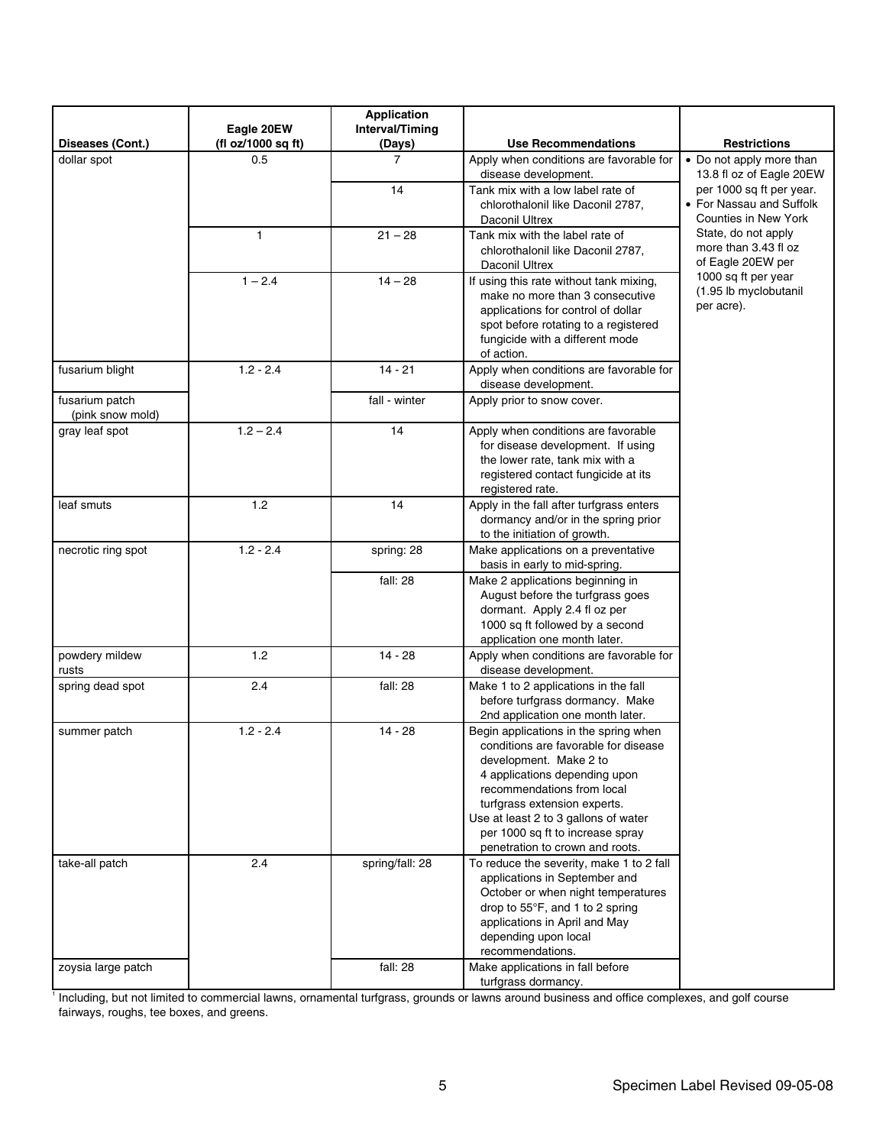| Diseases (Cont.)                   | Eagle 20EW<br>(fl oz/1000 sq ft) | <b>Application</b><br>Interval/Timing<br>(Days) | <b>Use Recommendations</b>                                                                                                                                                                                                                                                                                            | <b>Restrictions</b>                                                          |
|------------------------------------|----------------------------------|-------------------------------------------------|-----------------------------------------------------------------------------------------------------------------------------------------------------------------------------------------------------------------------------------------------------------------------------------------------------------------------|------------------------------------------------------------------------------|
| dollar spot                        | 0.5                              | $\overline{7}$                                  | Apply when conditions are favorable for                                                                                                                                                                                                                                                                               | • Do not apply more than                                                     |
|                                    |                                  |                                                 | disease development.                                                                                                                                                                                                                                                                                                  | 13.8 fl oz of Eagle 20EW                                                     |
|                                    |                                  | 14                                              | Tank mix with a low label rate of<br>chlorothalonil like Daconil 2787,<br>Daconil Ultrex                                                                                                                                                                                                                              | per 1000 sq ft per year.<br>• For Nassau and Suffolk<br>Counties in New York |
|                                    | $\mathbf{1}$                     | $21 - 28$                                       | Tank mix with the label rate of<br>chlorothalonil like Daconil 2787,<br><b>Daconil Ultrex</b>                                                                                                                                                                                                                         | State, do not apply<br>more than 3.43 fl oz<br>of Eagle 20EW per             |
|                                    | $1 - 2.4$                        | $14 - 28$                                       | If using this rate without tank mixing,<br>make no more than 3 consecutive<br>applications for control of dollar<br>spot before rotating to a registered<br>fungicide with a different mode<br>of action.                                                                                                             | 1000 sq ft per year<br>(1.95 lb myclobutanil<br>per acre).                   |
| fusarium blight                    | $1.2 - 2.4$                      | $14 - 21$                                       | Apply when conditions are favorable for<br>disease development.                                                                                                                                                                                                                                                       |                                                                              |
| fusarium patch<br>(pink snow mold) |                                  | fall - winter                                   | Apply prior to snow cover.                                                                                                                                                                                                                                                                                            |                                                                              |
| gray leaf spot                     | $1.2 - 2.4$                      | 14                                              | Apply when conditions are favorable<br>for disease development. If using<br>the lower rate, tank mix with a<br>registered contact fungicide at its<br>registered rate.                                                                                                                                                |                                                                              |
| leaf smuts                         | 1.2                              | 14                                              | Apply in the fall after turfgrass enters<br>dormancy and/or in the spring prior<br>to the initiation of growth.                                                                                                                                                                                                       |                                                                              |
| necrotic ring spot                 | $1.2 - 2.4$                      | spring: 28                                      | Make applications on a preventative<br>basis in early to mid-spring.                                                                                                                                                                                                                                                  |                                                                              |
|                                    |                                  | fall: 28                                        | Make 2 applications beginning in<br>August before the turfgrass goes<br>dormant. Apply 2.4 fl oz per<br>1000 sq ft followed by a second<br>application one month later.                                                                                                                                               |                                                                              |
| powdery mildew<br>rusts            | 1.2                              | $14 - 28$                                       | Apply when conditions are favorable for<br>disease development.                                                                                                                                                                                                                                                       |                                                                              |
| spring dead spot                   | 2.4                              | fall: 28                                        | Make 1 to 2 applications in the fall<br>before turfgrass dormancy. Make<br>2nd application one month later.                                                                                                                                                                                                           |                                                                              |
| summer patch                       | $1.2 - 2.4$                      | $14 - 28$                                       | Begin applications in the spring when<br>conditions are favorable for disease<br>development. Make 2 to<br>4 applications depending upon<br>recommendations from local<br>turfgrass extension experts.<br>Use at least 2 to 3 gallons of water<br>per 1000 sq ft to increase spray<br>penetration to crown and roots. |                                                                              |
| take-all patch                     | 2.4                              | spring/fall: 28                                 | To reduce the severity, make 1 to 2 fall<br>applications in September and<br>October or when night temperatures<br>drop to 55°F, and 1 to 2 spring<br>applications in April and May<br>depending upon local<br>recommendations.                                                                                       |                                                                              |
| zoysia large patch                 |                                  | fall: 28                                        | Make applications in fall before<br>turfgrass dormancy.                                                                                                                                                                                                                                                               |                                                                              |

1 Including, but not limited to commercial lawns, ornamental turfgrass, grounds or lawns around business and office complexes, and golf course fairways, roughs, tee boxes, and greens.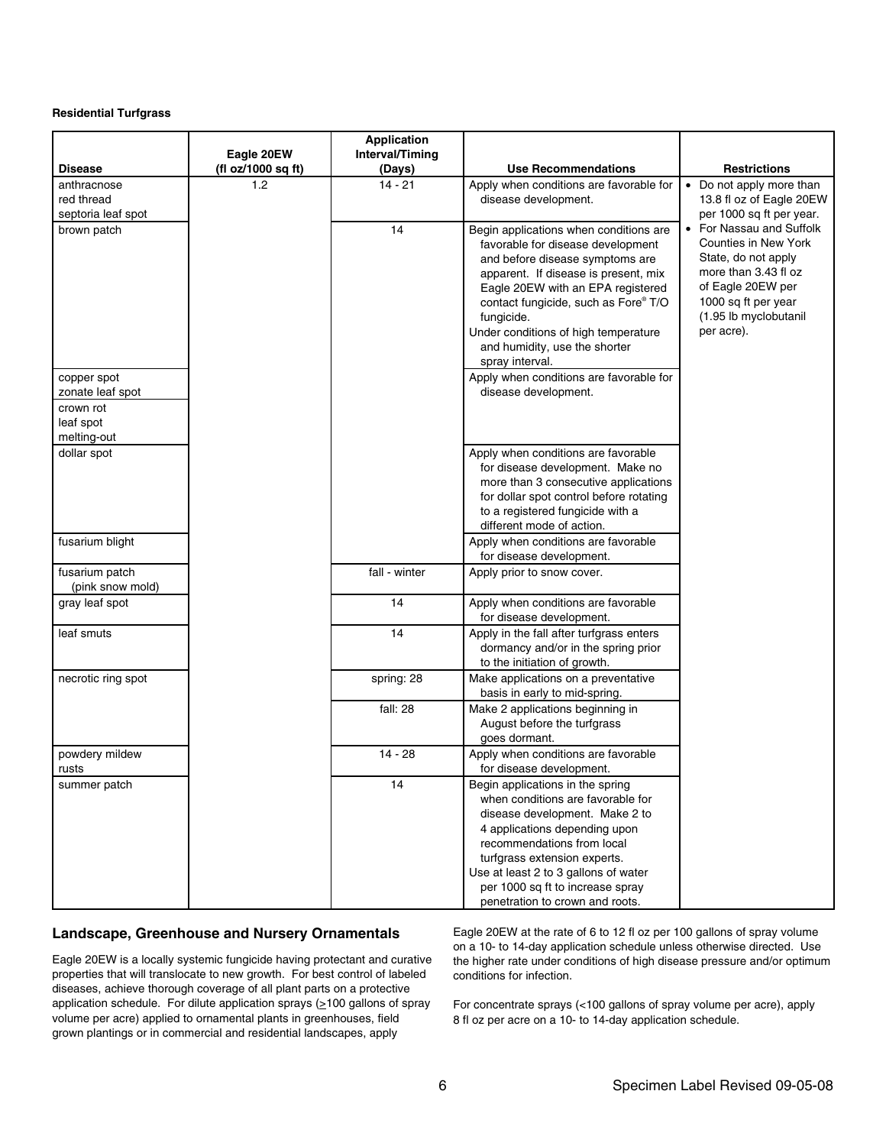# **Residential Turfgrass**

| Interval/Timing |                                                                 |                                                                                                                                                                                                                                                                                                                                                                                                                                                                                                                                                                                                                                                                                                                                                                                                                                                                                                                                                                                                                                                                                                                                                                                                                                |
|-----------------|-----------------------------------------------------------------|--------------------------------------------------------------------------------------------------------------------------------------------------------------------------------------------------------------------------------------------------------------------------------------------------------------------------------------------------------------------------------------------------------------------------------------------------------------------------------------------------------------------------------------------------------------------------------------------------------------------------------------------------------------------------------------------------------------------------------------------------------------------------------------------------------------------------------------------------------------------------------------------------------------------------------------------------------------------------------------------------------------------------------------------------------------------------------------------------------------------------------------------------------------------------------------------------------------------------------|
|                 |                                                                 |                                                                                                                                                                                                                                                                                                                                                                                                                                                                                                                                                                                                                                                                                                                                                                                                                                                                                                                                                                                                                                                                                                                                                                                                                                |
|                 |                                                                 | <b>Restrictions</b>                                                                                                                                                                                                                                                                                                                                                                                                                                                                                                                                                                                                                                                                                                                                                                                                                                                                                                                                                                                                                                                                                                                                                                                                            |
|                 |                                                                 | • Do not apply more than                                                                                                                                                                                                                                                                                                                                                                                                                                                                                                                                                                                                                                                                                                                                                                                                                                                                                                                                                                                                                                                                                                                                                                                                       |
|                 |                                                                 | 13.8 fl oz of Eagle 20EW                                                                                                                                                                                                                                                                                                                                                                                                                                                                                                                                                                                                                                                                                                                                                                                                                                                                                                                                                                                                                                                                                                                                                                                                       |
|                 |                                                                 | per 1000 sq ft per year.                                                                                                                                                                                                                                                                                                                                                                                                                                                                                                                                                                                                                                                                                                                                                                                                                                                                                                                                                                                                                                                                                                                                                                                                       |
|                 | favorable for disease development                               | • For Nassau and Suffolk<br>Counties in New York                                                                                                                                                                                                                                                                                                                                                                                                                                                                                                                                                                                                                                                                                                                                                                                                                                                                                                                                                                                                                                                                                                                                                                               |
|                 | and before disease symptoms are                                 | State, do not apply                                                                                                                                                                                                                                                                                                                                                                                                                                                                                                                                                                                                                                                                                                                                                                                                                                                                                                                                                                                                                                                                                                                                                                                                            |
|                 | apparent. If disease is present, mix                            | more than 3.43 fl oz                                                                                                                                                                                                                                                                                                                                                                                                                                                                                                                                                                                                                                                                                                                                                                                                                                                                                                                                                                                                                                                                                                                                                                                                           |
|                 |                                                                 | of Eagle 20EW per                                                                                                                                                                                                                                                                                                                                                                                                                                                                                                                                                                                                                                                                                                                                                                                                                                                                                                                                                                                                                                                                                                                                                                                                              |
|                 |                                                                 | 1000 sq ft per year                                                                                                                                                                                                                                                                                                                                                                                                                                                                                                                                                                                                                                                                                                                                                                                                                                                                                                                                                                                                                                                                                                                                                                                                            |
|                 |                                                                 | (1.95 lb myclobutanil                                                                                                                                                                                                                                                                                                                                                                                                                                                                                                                                                                                                                                                                                                                                                                                                                                                                                                                                                                                                                                                                                                                                                                                                          |
|                 |                                                                 | per acre).                                                                                                                                                                                                                                                                                                                                                                                                                                                                                                                                                                                                                                                                                                                                                                                                                                                                                                                                                                                                                                                                                                                                                                                                                     |
|                 |                                                                 |                                                                                                                                                                                                                                                                                                                                                                                                                                                                                                                                                                                                                                                                                                                                                                                                                                                                                                                                                                                                                                                                                                                                                                                                                                |
|                 |                                                                 |                                                                                                                                                                                                                                                                                                                                                                                                                                                                                                                                                                                                                                                                                                                                                                                                                                                                                                                                                                                                                                                                                                                                                                                                                                |
|                 | disease development.                                            |                                                                                                                                                                                                                                                                                                                                                                                                                                                                                                                                                                                                                                                                                                                                                                                                                                                                                                                                                                                                                                                                                                                                                                                                                                |
|                 |                                                                 |                                                                                                                                                                                                                                                                                                                                                                                                                                                                                                                                                                                                                                                                                                                                                                                                                                                                                                                                                                                                                                                                                                                                                                                                                                |
|                 |                                                                 |                                                                                                                                                                                                                                                                                                                                                                                                                                                                                                                                                                                                                                                                                                                                                                                                                                                                                                                                                                                                                                                                                                                                                                                                                                |
|                 |                                                                 |                                                                                                                                                                                                                                                                                                                                                                                                                                                                                                                                                                                                                                                                                                                                                                                                                                                                                                                                                                                                                                                                                                                                                                                                                                |
|                 | Apply when conditions are favorable                             |                                                                                                                                                                                                                                                                                                                                                                                                                                                                                                                                                                                                                                                                                                                                                                                                                                                                                                                                                                                                                                                                                                                                                                                                                                |
|                 |                                                                 |                                                                                                                                                                                                                                                                                                                                                                                                                                                                                                                                                                                                                                                                                                                                                                                                                                                                                                                                                                                                                                                                                                                                                                                                                                |
|                 |                                                                 |                                                                                                                                                                                                                                                                                                                                                                                                                                                                                                                                                                                                                                                                                                                                                                                                                                                                                                                                                                                                                                                                                                                                                                                                                                |
|                 |                                                                 |                                                                                                                                                                                                                                                                                                                                                                                                                                                                                                                                                                                                                                                                                                                                                                                                                                                                                                                                                                                                                                                                                                                                                                                                                                |
|                 |                                                                 |                                                                                                                                                                                                                                                                                                                                                                                                                                                                                                                                                                                                                                                                                                                                                                                                                                                                                                                                                                                                                                                                                                                                                                                                                                |
|                 |                                                                 |                                                                                                                                                                                                                                                                                                                                                                                                                                                                                                                                                                                                                                                                                                                                                                                                                                                                                                                                                                                                                                                                                                                                                                                                                                |
|                 | for disease development.                                        |                                                                                                                                                                                                                                                                                                                                                                                                                                                                                                                                                                                                                                                                                                                                                                                                                                                                                                                                                                                                                                                                                                                                                                                                                                |
| fall - winter   | Apply prior to snow cover.                                      |                                                                                                                                                                                                                                                                                                                                                                                                                                                                                                                                                                                                                                                                                                                                                                                                                                                                                                                                                                                                                                                                                                                                                                                                                                |
|                 |                                                                 |                                                                                                                                                                                                                                                                                                                                                                                                                                                                                                                                                                                                                                                                                                                                                                                                                                                                                                                                                                                                                                                                                                                                                                                                                                |
|                 |                                                                 |                                                                                                                                                                                                                                                                                                                                                                                                                                                                                                                                                                                                                                                                                                                                                                                                                                                                                                                                                                                                                                                                                                                                                                                                                                |
|                 |                                                                 |                                                                                                                                                                                                                                                                                                                                                                                                                                                                                                                                                                                                                                                                                                                                                                                                                                                                                                                                                                                                                                                                                                                                                                                                                                |
|                 |                                                                 |                                                                                                                                                                                                                                                                                                                                                                                                                                                                                                                                                                                                                                                                                                                                                                                                                                                                                                                                                                                                                                                                                                                                                                                                                                |
|                 |                                                                 |                                                                                                                                                                                                                                                                                                                                                                                                                                                                                                                                                                                                                                                                                                                                                                                                                                                                                                                                                                                                                                                                                                                                                                                                                                |
|                 |                                                                 |                                                                                                                                                                                                                                                                                                                                                                                                                                                                                                                                                                                                                                                                                                                                                                                                                                                                                                                                                                                                                                                                                                                                                                                                                                |
|                 |                                                                 |                                                                                                                                                                                                                                                                                                                                                                                                                                                                                                                                                                                                                                                                                                                                                                                                                                                                                                                                                                                                                                                                                                                                                                                                                                |
|                 |                                                                 |                                                                                                                                                                                                                                                                                                                                                                                                                                                                                                                                                                                                                                                                                                                                                                                                                                                                                                                                                                                                                                                                                                                                                                                                                                |
|                 |                                                                 |                                                                                                                                                                                                                                                                                                                                                                                                                                                                                                                                                                                                                                                                                                                                                                                                                                                                                                                                                                                                                                                                                                                                                                                                                                |
|                 | goes dormant.                                                   |                                                                                                                                                                                                                                                                                                                                                                                                                                                                                                                                                                                                                                                                                                                                                                                                                                                                                                                                                                                                                                                                                                                                                                                                                                |
| $14 - 28$       | Apply when conditions are favorable                             |                                                                                                                                                                                                                                                                                                                                                                                                                                                                                                                                                                                                                                                                                                                                                                                                                                                                                                                                                                                                                                                                                                                                                                                                                                |
|                 | for disease development.                                        |                                                                                                                                                                                                                                                                                                                                                                                                                                                                                                                                                                                                                                                                                                                                                                                                                                                                                                                                                                                                                                                                                                                                                                                                                                |
| 14              | Begin applications in the spring                                |                                                                                                                                                                                                                                                                                                                                                                                                                                                                                                                                                                                                                                                                                                                                                                                                                                                                                                                                                                                                                                                                                                                                                                                                                                |
|                 |                                                                 |                                                                                                                                                                                                                                                                                                                                                                                                                                                                                                                                                                                                                                                                                                                                                                                                                                                                                                                                                                                                                                                                                                                                                                                                                                |
|                 |                                                                 |                                                                                                                                                                                                                                                                                                                                                                                                                                                                                                                                                                                                                                                                                                                                                                                                                                                                                                                                                                                                                                                                                                                                                                                                                                |
|                 |                                                                 |                                                                                                                                                                                                                                                                                                                                                                                                                                                                                                                                                                                                                                                                                                                                                                                                                                                                                                                                                                                                                                                                                                                                                                                                                                |
|                 |                                                                 |                                                                                                                                                                                                                                                                                                                                                                                                                                                                                                                                                                                                                                                                                                                                                                                                                                                                                                                                                                                                                                                                                                                                                                                                                                |
|                 |                                                                 |                                                                                                                                                                                                                                                                                                                                                                                                                                                                                                                                                                                                                                                                                                                                                                                                                                                                                                                                                                                                                                                                                                                                                                                                                                |
|                 |                                                                 |                                                                                                                                                                                                                                                                                                                                                                                                                                                                                                                                                                                                                                                                                                                                                                                                                                                                                                                                                                                                                                                                                                                                                                                                                                |
|                 |                                                                 |                                                                                                                                                                                                                                                                                                                                                                                                                                                                                                                                                                                                                                                                                                                                                                                                                                                                                                                                                                                                                                                                                                                                                                                                                                |
|                 | (Days)<br>$14 - 21$<br>14<br>14<br>14<br>spring: 28<br>fall: 28 | <b>Use Recommendations</b><br>Apply when conditions are favorable for<br>disease development.<br>Begin applications when conditions are<br>Eagle 20EW with an EPA registered<br>contact fungicide, such as Fore® T/O<br>fungicide.<br>Under conditions of high temperature<br>and humidity, use the shorter<br>spray interval.<br>Apply when conditions are favorable for<br>for disease development. Make no<br>more than 3 consecutive applications<br>for dollar spot control before rotating<br>to a registered fungicide with a<br>different mode of action.<br>Apply when conditions are favorable<br>Apply when conditions are favorable<br>for disease development.<br>Apply in the fall after turfgrass enters<br>dormancy and/or in the spring prior<br>to the initiation of growth.<br>Make applications on a preventative<br>basis in early to mid-spring.<br>Make 2 applications beginning in<br>August before the turfgrass<br>when conditions are favorable for<br>disease development. Make 2 to<br>4 applications depending upon<br>recommendations from local<br>turfgrass extension experts.<br>Use at least 2 to 3 gallons of water<br>per 1000 sq ft to increase spray<br>penetration to crown and roots. |

# **Landscape, Greenhouse and Nursery Ornamentals**

Eagle 20EW is a locally systemic fungicide having protectant and curative properties that will translocate to new growth. For best control of labeled diseases, achieve thorough coverage of all plant parts on a protective application schedule. For dilute application sprays  $( \geq 100 \text{ gallons of }$  spray volume per acre) applied to ornamental plants in greenhouses, field grown plantings or in commercial and residential landscapes, apply

Eagle 20EW at the rate of 6 to 12 fl oz per 100 gallons of spray volume on a 10- to 14-day application schedule unless otherwise directed. Use the higher rate under conditions of high disease pressure and/or optimum conditions for infection.

For concentrate sprays (<100 gallons of spray volume per acre), apply 8 fl oz per acre on a 10- to 14-day application schedule.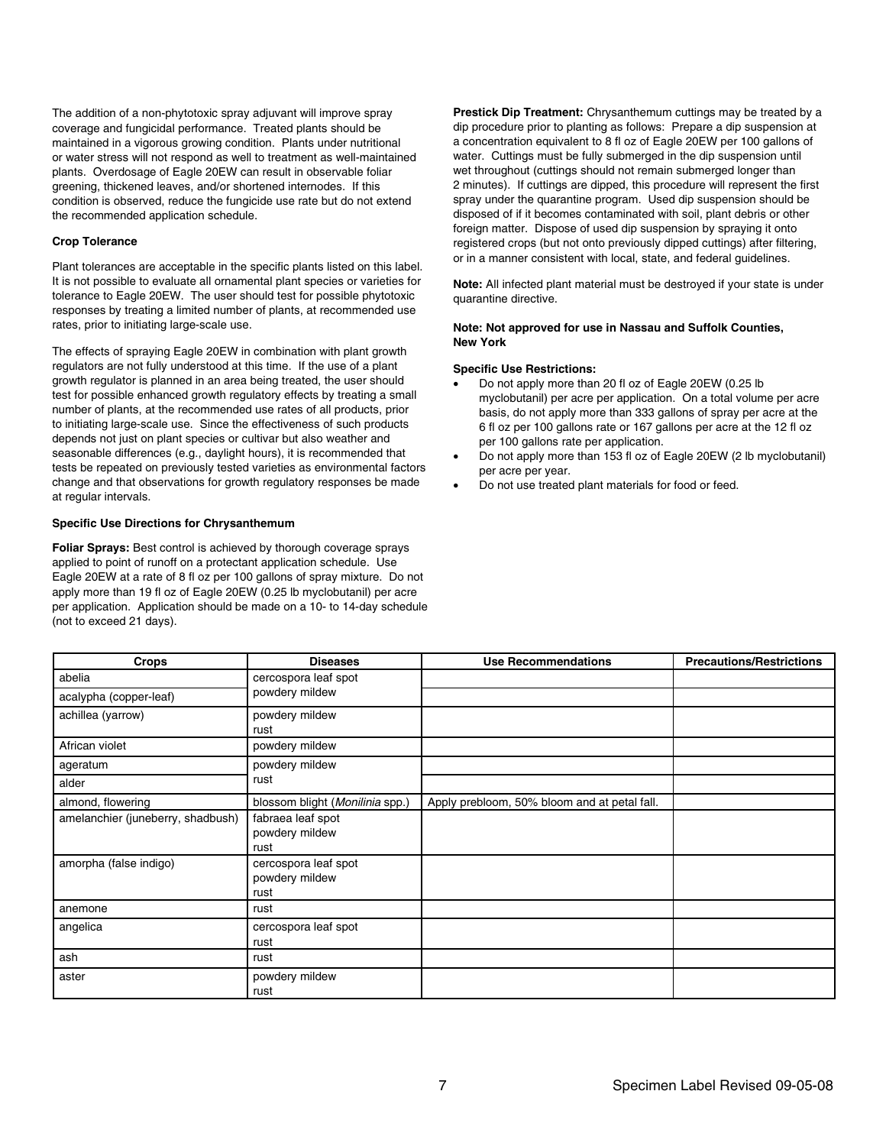The addition of a non-phytotoxic spray adjuvant will improve spray coverage and fungicidal performance. Treated plants should be maintained in a vigorous growing condition. Plants under nutritional or water stress will not respond as well to treatment as well-maintained plants. Overdosage of Eagle 20EW can result in observable foliar greening, thickened leaves, and/or shortened internodes. If this condition is observed, reduce the fungicide use rate but do not extend the recommended application schedule.

#### **Crop Tolerance**

Plant tolerances are acceptable in the specific plants listed on this label. It is not possible to evaluate all ornamental plant species or varieties for tolerance to Eagle 20EW. The user should test for possible phytotoxic responses by treating a limited number of plants, at recommended use rates, prior to initiating large-scale use.

The effects of spraying Eagle 20EW in combination with plant growth regulators are not fully understood at this time. If the use of a plant growth regulator is planned in an area being treated, the user should test for possible enhanced growth regulatory effects by treating a small number of plants, at the recommended use rates of all products, prior to initiating large-scale use. Since the effectiveness of such products depends not just on plant species or cultivar but also weather and seasonable differences (e.g., daylight hours), it is recommended that tests be repeated on previously tested varieties as environmental factors change and that observations for growth regulatory responses be made at regular intervals.

#### **Specific Use Directions for Chrysanthemum**

**Foliar Sprays:** Best control is achieved by thorough coverage sprays applied to point of runoff on a protectant application schedule. Use Eagle 20EW at a rate of 8 fl oz per 100 gallons of spray mixture. Do not apply more than 19 fl oz of Eagle 20EW (0.25 lb myclobutanil) per acre per application. Application should be made on a 10- to 14-day schedule (not to exceed 21 days).

**Prestick Dip Treatment:** Chrysanthemum cuttings may be treated by a dip procedure prior to planting as follows: Prepare a dip suspension at a concentration equivalent to 8 fl oz of Eagle 20EW per 100 gallons of water. Cuttings must be fully submerged in the dip suspension until wet throughout (cuttings should not remain submerged longer than 2 minutes). If cuttings are dipped, this procedure will represent the first spray under the quarantine program. Used dip suspension should be disposed of if it becomes contaminated with soil, plant debris or other foreign matter. Dispose of used dip suspension by spraying it onto registered crops (but not onto previously dipped cuttings) after filtering, or in a manner consistent with local, state, and federal guidelines.

**Note:** All infected plant material must be destroyed if your state is under quarantine directive.

#### **Note: Not approved for use in Nassau and Suffolk Counties, New York**

#### **Specific Use Restrictions:**

- Do not apply more than 20 fl oz of Eagle 20EW (0.25 lb myclobutanil) per acre per application. On a total volume per acre basis, do not apply more than 333 gallons of spray per acre at the 6 fl oz per 100 gallons rate or 167 gallons per acre at the 12 fl oz per 100 gallons rate per application.
- Do not apply more than 153 fl oz of Eagle 20EW (2 lb myclobutanil) per acre per year.
- Do not use treated plant materials for food or feed.

| <b>Crops</b>                      | <b>Diseases</b>                 | <b>Use Recommendations</b>                   | <b>Precautions/Restrictions</b> |
|-----------------------------------|---------------------------------|----------------------------------------------|---------------------------------|
|                                   |                                 |                                              |                                 |
| abelia                            | cercospora leaf spot            |                                              |                                 |
| acalypha (copper-leaf)            | powdery mildew                  |                                              |                                 |
| achillea (yarrow)                 | powdery mildew                  |                                              |                                 |
|                                   | rust                            |                                              |                                 |
| African violet                    | powdery mildew                  |                                              |                                 |
| ageratum                          | powdery mildew                  |                                              |                                 |
| alder                             | rust                            |                                              |                                 |
| almond, flowering                 | blossom blight (Monilinia spp.) | Apply prebloom, 50% bloom and at petal fall. |                                 |
| amelanchier (juneberry, shadbush) | fabraea leaf spot               |                                              |                                 |
|                                   | powdery mildew                  |                                              |                                 |
|                                   | rust                            |                                              |                                 |
| amorpha (false indigo)            | cercospora leaf spot            |                                              |                                 |
|                                   | powdery mildew                  |                                              |                                 |
|                                   | rust                            |                                              |                                 |
| anemone                           | rust                            |                                              |                                 |
| angelica                          | cercospora leaf spot            |                                              |                                 |
|                                   | rust                            |                                              |                                 |
| ash                               | rust                            |                                              |                                 |
| aster                             | powdery mildew                  |                                              |                                 |
|                                   | rust                            |                                              |                                 |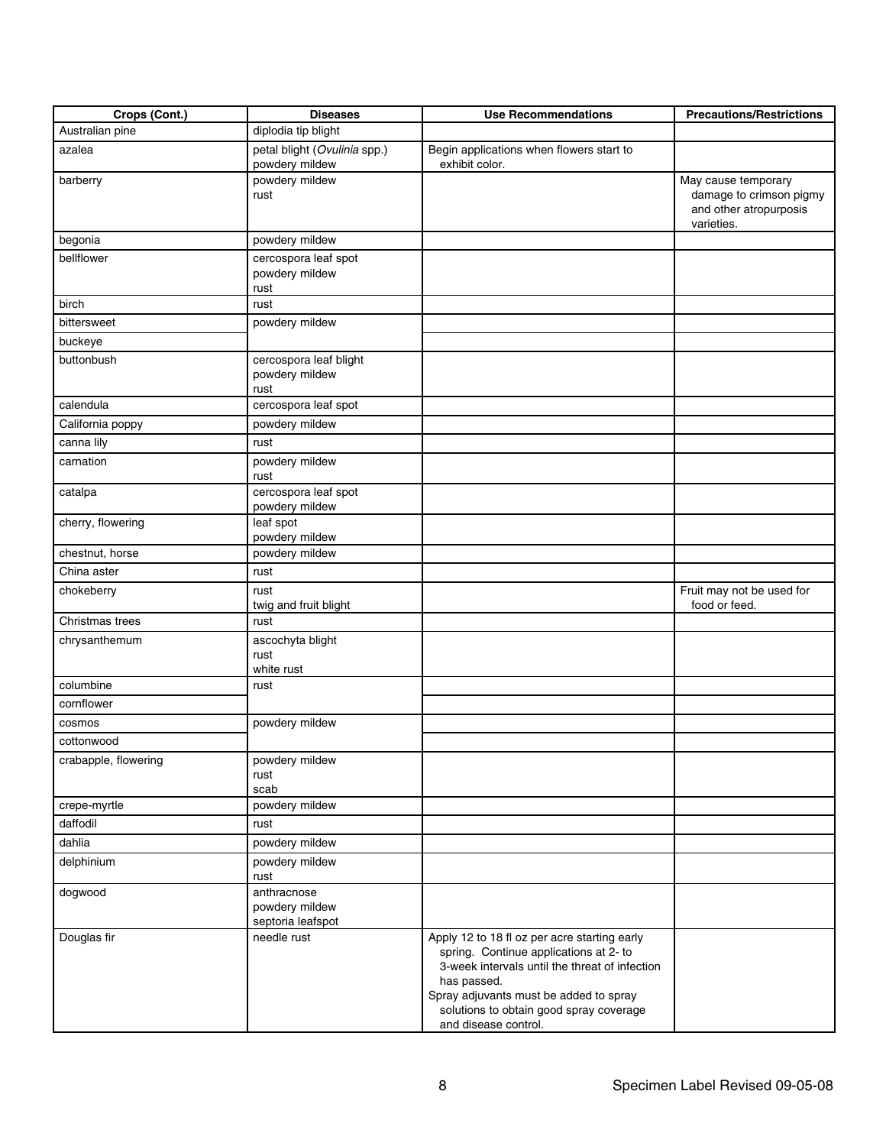| Crops (Cont.)        | <b>Diseases</b>                                    | <b>Use Recommendations</b>                                                                                                                                                                                                                                           | <b>Precautions/Restrictions</b>                                                        |
|----------------------|----------------------------------------------------|----------------------------------------------------------------------------------------------------------------------------------------------------------------------------------------------------------------------------------------------------------------------|----------------------------------------------------------------------------------------|
| Australian pine      | diplodia tip blight                                |                                                                                                                                                                                                                                                                      |                                                                                        |
| azalea               | petal blight (Ovulinia spp.)<br>powdery mildew     | Begin applications when flowers start to<br>exhibit color.                                                                                                                                                                                                           |                                                                                        |
| barberry             | powdery mildew<br>rust                             |                                                                                                                                                                                                                                                                      | May cause temporary<br>damage to crimson pigmy<br>and other atropurposis<br>varieties. |
| begonia              | powdery mildew                                     |                                                                                                                                                                                                                                                                      |                                                                                        |
| bellflower           | cercospora leaf spot<br>powdery mildew<br>rust     |                                                                                                                                                                                                                                                                      |                                                                                        |
| birch                | rust                                               |                                                                                                                                                                                                                                                                      |                                                                                        |
| bittersweet          | powdery mildew                                     |                                                                                                                                                                                                                                                                      |                                                                                        |
| buckeye              |                                                    |                                                                                                                                                                                                                                                                      |                                                                                        |
| buttonbush           | cercospora leaf blight<br>powdery mildew<br>rust   |                                                                                                                                                                                                                                                                      |                                                                                        |
| calendula            | cercospora leaf spot                               |                                                                                                                                                                                                                                                                      |                                                                                        |
| California poppy     | powdery mildew                                     |                                                                                                                                                                                                                                                                      |                                                                                        |
| canna lily           | rust                                               |                                                                                                                                                                                                                                                                      |                                                                                        |
| carnation            | powdery mildew<br>rust                             |                                                                                                                                                                                                                                                                      |                                                                                        |
| catalpa              | cercospora leaf spot<br>powdery mildew             |                                                                                                                                                                                                                                                                      |                                                                                        |
| cherry, flowering    | leaf spot<br>powdery mildew                        |                                                                                                                                                                                                                                                                      |                                                                                        |
| chestnut, horse      | powdery mildew                                     |                                                                                                                                                                                                                                                                      |                                                                                        |
| China aster          | rust                                               |                                                                                                                                                                                                                                                                      |                                                                                        |
| chokeberry           | rust<br>twig and fruit blight                      |                                                                                                                                                                                                                                                                      | Fruit may not be used for<br>food or feed.                                             |
| Christmas trees      | rust                                               |                                                                                                                                                                                                                                                                      |                                                                                        |
| chrysanthemum        | ascochyta blight<br>rust<br>white rust             |                                                                                                                                                                                                                                                                      |                                                                                        |
| columbine            | rust                                               |                                                                                                                                                                                                                                                                      |                                                                                        |
| cornflower           |                                                    |                                                                                                                                                                                                                                                                      |                                                                                        |
| cosmos               | powdery mildew                                     |                                                                                                                                                                                                                                                                      |                                                                                        |
| cottonwood           |                                                    |                                                                                                                                                                                                                                                                      |                                                                                        |
| crabapple, flowering | powdery mildew<br>rust<br>scab                     |                                                                                                                                                                                                                                                                      |                                                                                        |
| crepe-myrtle         | powdery mildew                                     |                                                                                                                                                                                                                                                                      |                                                                                        |
| daffodil             | rust                                               |                                                                                                                                                                                                                                                                      |                                                                                        |
| dahlia               | powdery mildew                                     |                                                                                                                                                                                                                                                                      |                                                                                        |
| delphinium           | powdery mildew<br>rust                             |                                                                                                                                                                                                                                                                      |                                                                                        |
| dogwood              | anthracnose<br>powdery mildew<br>septoria leafspot |                                                                                                                                                                                                                                                                      |                                                                                        |
| Douglas fir          | needle rust                                        | Apply 12 to 18 fl oz per acre starting early<br>spring. Continue applications at 2- to<br>3-week intervals until the threat of infection<br>has passed.<br>Spray adjuvants must be added to spray<br>solutions to obtain good spray coverage<br>and disease control. |                                                                                        |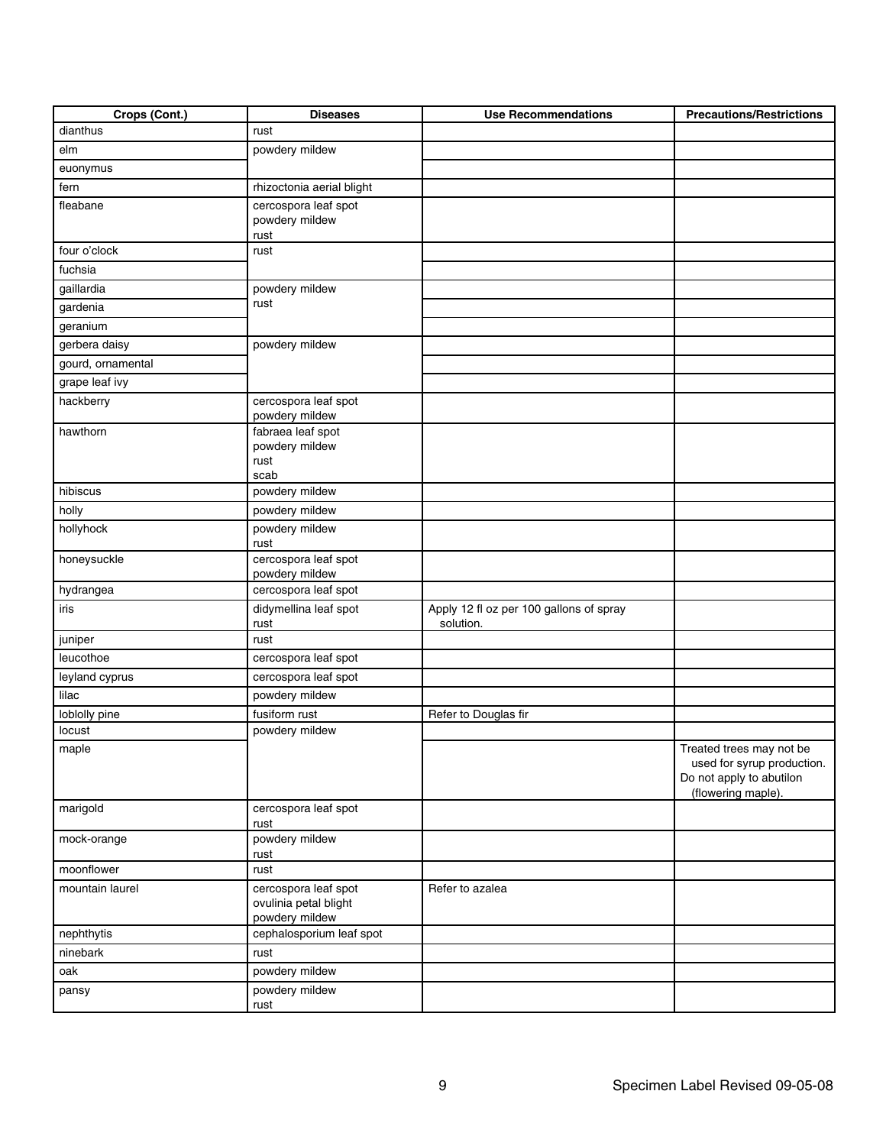| Crops (Cont.)     | <b>Diseases</b>                                                 | <b>Use Recommendations</b>              | <b>Precautions/Restrictions</b>                                                                          |
|-------------------|-----------------------------------------------------------------|-----------------------------------------|----------------------------------------------------------------------------------------------------------|
| dianthus          | rust                                                            |                                         |                                                                                                          |
| elm               | powdery mildew                                                  |                                         |                                                                                                          |
| euonymus          |                                                                 |                                         |                                                                                                          |
| fern              | rhizoctonia aerial blight                                       |                                         |                                                                                                          |
| fleabane          | cercospora leaf spot                                            |                                         |                                                                                                          |
|                   | powdery mildew                                                  |                                         |                                                                                                          |
| four o'clock      | rust<br>rust                                                    |                                         |                                                                                                          |
| fuchsia           |                                                                 |                                         |                                                                                                          |
| gaillardia        | powdery mildew                                                  |                                         |                                                                                                          |
| gardenia          | rust                                                            |                                         |                                                                                                          |
| geranium          |                                                                 |                                         |                                                                                                          |
| gerbera daisy     | powdery mildew                                                  |                                         |                                                                                                          |
| gourd, ornamental |                                                                 |                                         |                                                                                                          |
| grape leaf ivy    |                                                                 |                                         |                                                                                                          |
| hackberry         | cercospora leaf spot                                            |                                         |                                                                                                          |
|                   | powdery mildew                                                  |                                         |                                                                                                          |
| hawthorn          | fabraea leaf spot                                               |                                         |                                                                                                          |
|                   | powdery mildew                                                  |                                         |                                                                                                          |
|                   | rust                                                            |                                         |                                                                                                          |
| hibiscus          | scab<br>powdery mildew                                          |                                         |                                                                                                          |
| holly             | powdery mildew                                                  |                                         |                                                                                                          |
| hollyhock         | powdery mildew                                                  |                                         |                                                                                                          |
|                   | rust                                                            |                                         |                                                                                                          |
| honeysuckle       | cercospora leaf spot                                            |                                         |                                                                                                          |
|                   | powdery mildew<br>cercospora leaf spot                          |                                         |                                                                                                          |
| hydrangea<br>iris | didymellina leaf spot                                           | Apply 12 fl oz per 100 gallons of spray |                                                                                                          |
|                   | rust                                                            | solution.                               |                                                                                                          |
| juniper           | rust                                                            |                                         |                                                                                                          |
| leucothoe         | cercospora leaf spot                                            |                                         |                                                                                                          |
| leyland cyprus    | cercospora leaf spot                                            |                                         |                                                                                                          |
| lilac             | powdery mildew                                                  |                                         |                                                                                                          |
| loblolly pine     | fusiform rust                                                   | Refer to Douglas fir                    |                                                                                                          |
| locust            | powdery mildew                                                  |                                         |                                                                                                          |
| maple             |                                                                 |                                         | Treated trees may not be<br>used for syrup production.<br>Do not apply to abutilon<br>(flowering maple). |
| marigold          | cercospora leaf spot<br>rust                                    |                                         |                                                                                                          |
| mock-orange       | powdery mildew<br>rust                                          |                                         |                                                                                                          |
| moonflower        | rust                                                            |                                         |                                                                                                          |
| mountain laurel   | cercospora leaf spot<br>ovulinia petal blight<br>powdery mildew | Refer to azalea                         |                                                                                                          |
| nephthytis        | cephalosporium leaf spot                                        |                                         |                                                                                                          |
| ninebark          | rust                                                            |                                         |                                                                                                          |
| oak               | powdery mildew                                                  |                                         |                                                                                                          |
| pansy             | powdery mildew                                                  |                                         |                                                                                                          |
|                   | rust                                                            |                                         |                                                                                                          |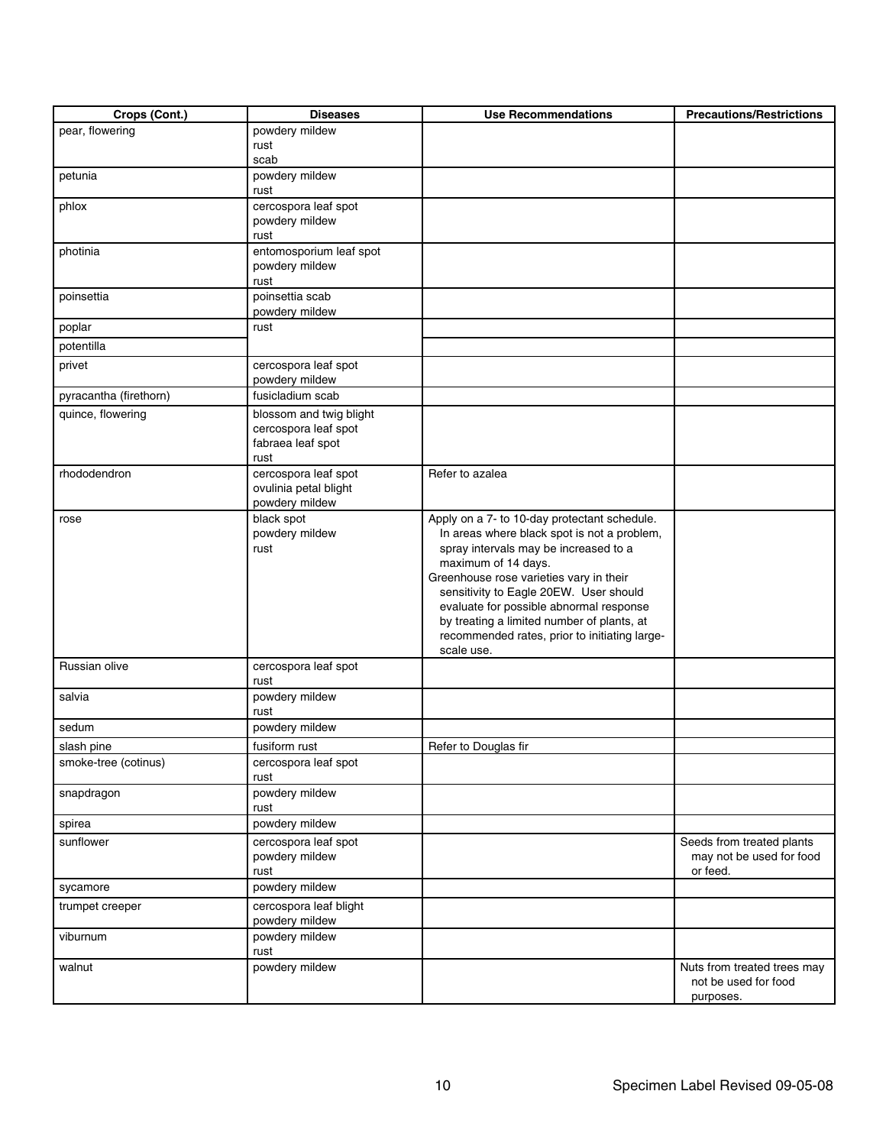| Crops (Cont.)          | <b>Diseases</b>                           | <b>Use Recommendations</b>                                                                  | <b>Precautions/Restrictions</b>   |
|------------------------|-------------------------------------------|---------------------------------------------------------------------------------------------|-----------------------------------|
| pear, flowering        | powdery mildew                            |                                                                                             |                                   |
|                        | rust                                      |                                                                                             |                                   |
| petunia                | scab<br>powdery mildew                    |                                                                                             |                                   |
|                        | rust                                      |                                                                                             |                                   |
| phlox                  | cercospora leaf spot                      |                                                                                             |                                   |
|                        | powdery mildew                            |                                                                                             |                                   |
|                        | rust                                      |                                                                                             |                                   |
| photinia               | entomosporium leaf spot<br>powdery mildew |                                                                                             |                                   |
|                        | rust                                      |                                                                                             |                                   |
| poinsettia             | poinsettia scab<br>powdery mildew         |                                                                                             |                                   |
| poplar                 | rust                                      |                                                                                             |                                   |
| potentilla             |                                           |                                                                                             |                                   |
| privet                 | cercospora leaf spot                      |                                                                                             |                                   |
|                        | powdery mildew                            |                                                                                             |                                   |
| pyracantha (firethorn) | fusicladium scab                          |                                                                                             |                                   |
| quince, flowering      | blossom and twig blight                   |                                                                                             |                                   |
|                        | cercospora leaf spot                      |                                                                                             |                                   |
|                        | fabraea leaf spot<br>rust                 |                                                                                             |                                   |
| rhododendron           | cercospora leaf spot                      | Refer to azalea                                                                             |                                   |
|                        | ovulinia petal blight                     |                                                                                             |                                   |
|                        | powdery mildew                            |                                                                                             |                                   |
| rose                   | black spot<br>powdery mildew              | Apply on a 7- to 10-day protectant schedule.<br>In areas where black spot is not a problem, |                                   |
|                        | rust                                      | spray intervals may be increased to a                                                       |                                   |
|                        |                                           | maximum of 14 days.                                                                         |                                   |
|                        |                                           | Greenhouse rose varieties vary in their                                                     |                                   |
|                        |                                           | sensitivity to Eagle 20EW. User should<br>evaluate for possible abnormal response           |                                   |
|                        |                                           | by treating a limited number of plants, at                                                  |                                   |
|                        |                                           | recommended rates, prior to initiating large-                                               |                                   |
|                        |                                           | scale use.                                                                                  |                                   |
| Russian olive          | cercospora leaf spot<br>rust              |                                                                                             |                                   |
| salvia                 | powdery mildew                            |                                                                                             |                                   |
|                        | rust                                      |                                                                                             |                                   |
| sedum                  | powdery mildew                            |                                                                                             |                                   |
| slash pine             | fusiform rust                             | Refer to Douglas fir                                                                        |                                   |
| smoke-tree (cotinus)   | cercospora leaf spot<br>rust              |                                                                                             |                                   |
| snapdragon             | powdery mildew<br>rust                    |                                                                                             |                                   |
| spirea                 | powdery mildew                            |                                                                                             |                                   |
| sunflower              | cercospora leaf spot                      |                                                                                             | Seeds from treated plants         |
|                        | powdery mildew                            |                                                                                             | may not be used for food          |
| sycamore               | rust<br>powdery mildew                    |                                                                                             | or feed.                          |
| trumpet creeper        | cercospora leaf blight                    |                                                                                             |                                   |
|                        | powdery mildew                            |                                                                                             |                                   |
| viburnum               | powdery mildew<br>rust                    |                                                                                             |                                   |
| walnut                 | powdery mildew                            |                                                                                             | Nuts from treated trees may       |
|                        |                                           |                                                                                             | not be used for food<br>purposes. |
|                        |                                           |                                                                                             |                                   |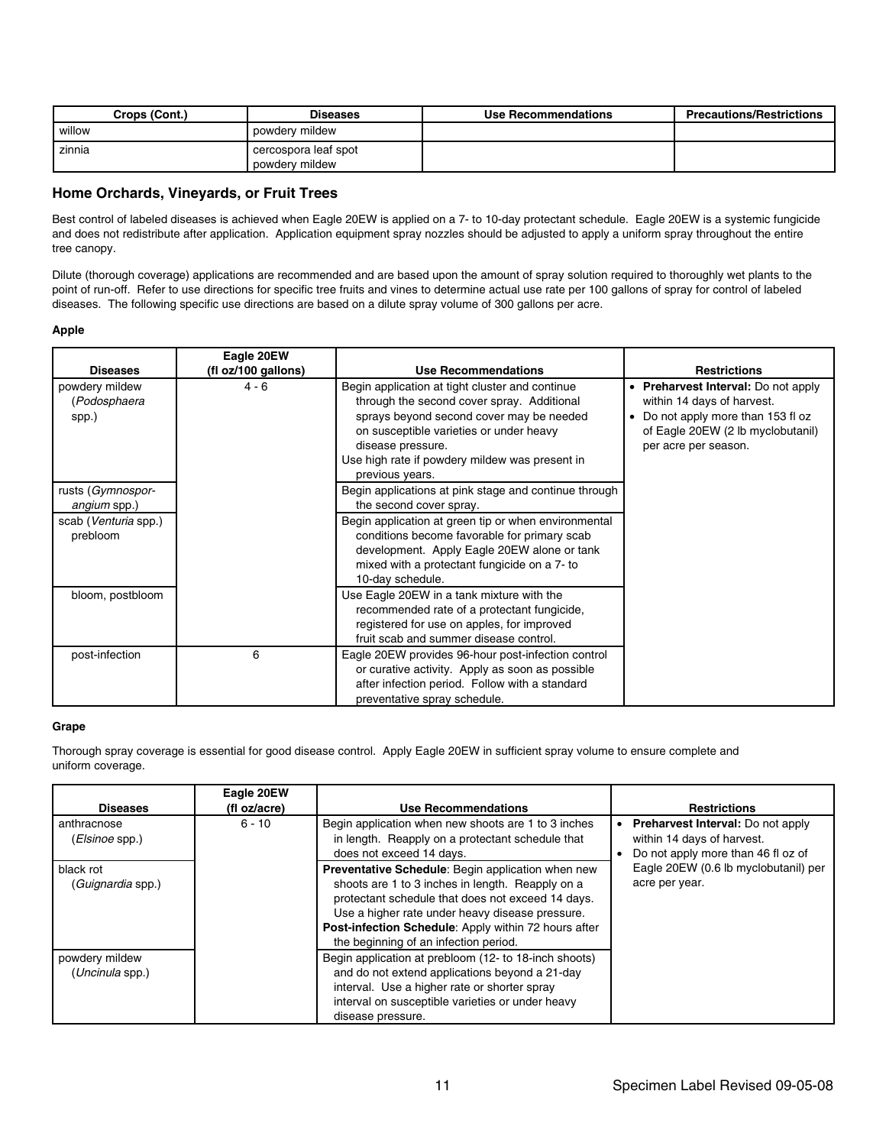| Crops (Cont.) | <b>Diseases</b>                        | Use Recommendations | <b>Precautions/Restrictions</b> |
|---------------|----------------------------------------|---------------------|---------------------------------|
| willow        | powdery mildew                         |                     |                                 |
| zinnia        | cercospora leaf spot<br>powdery mildew |                     |                                 |

# **Home Orchards, Vineyards, or Fruit Trees**

Best control of labeled diseases is achieved when Eagle 20EW is applied on a 7- to 10-day protectant schedule. Eagle 20EW is a systemic fungicide and does not redistribute after application. Application equipment spray nozzles should be adjusted to apply a uniform spray throughout the entire tree canopy.

Dilute (thorough coverage) applications are recommended and are based upon the amount of spray solution required to thoroughly wet plants to the point of run-off. Refer to use directions for specific tree fruits and vines to determine actual use rate per 100 gallons of spray for control of labeled diseases. The following specific use directions are based on a dilute spray volume of 300 gallons per acre.

#### **Apple**

|                                         | Eagle 20EW          |                                                                                                                                                                                                                                                                                |                                                                                                                                                                         |
|-----------------------------------------|---------------------|--------------------------------------------------------------------------------------------------------------------------------------------------------------------------------------------------------------------------------------------------------------------------------|-------------------------------------------------------------------------------------------------------------------------------------------------------------------------|
| <b>Diseases</b>                         | (fl oz/100 gallons) | <b>Use Recommendations</b>                                                                                                                                                                                                                                                     | <b>Restrictions</b>                                                                                                                                                     |
| powdery mildew<br>(Podosphaera<br>spp.) | $4 - 6$             | Begin application at tight cluster and continue<br>through the second cover spray. Additional<br>sprays beyond second cover may be needed<br>on susceptible varieties or under heavy<br>disease pressure.<br>Use high rate if powdery mildew was present in<br>previous years. | <b>Preharvest Interval: Do not apply</b><br>within 14 days of harvest.<br>Do not apply more than 153 fl oz<br>of Eagle 20EW (2 lb myclobutanil)<br>per acre per season. |
| rusts (Gymnospor-<br>angium spp.)       |                     | Begin applications at pink stage and continue through<br>the second cover spray.                                                                                                                                                                                               |                                                                                                                                                                         |
| scab (Venturia spp.)<br>prebloom        |                     | Begin application at green tip or when environmental<br>conditions become favorable for primary scab<br>development. Apply Eagle 20EW alone or tank<br>mixed with a protectant fungicide on a 7-to<br>10-day schedule.                                                         |                                                                                                                                                                         |
| bloom, postbloom                        |                     | Use Eagle 20EW in a tank mixture with the<br>recommended rate of a protectant fungicide,<br>registered for use on apples, for improved<br>fruit scab and summer disease control.                                                                                               |                                                                                                                                                                         |
| post-infection                          | 6                   | Eagle 20EW provides 96-hour post-infection control<br>or curative activity. Apply as soon as possible<br>after infection period. Follow with a standard<br>preventative spray schedule.                                                                                        |                                                                                                                                                                         |

#### **Grape**

Thorough spray coverage is essential for good disease control. Apply Eagle 20EW in sufficient spray volume to ensure complete and uniform coverage.

| <b>Diseases</b>                       | Eagle 20EW<br>(fl oz/acre) | <b>Use Recommendations</b>                                                                                                                                                                                                                                                                                     | <b>Restrictions</b>                                                                                     |
|---------------------------------------|----------------------------|----------------------------------------------------------------------------------------------------------------------------------------------------------------------------------------------------------------------------------------------------------------------------------------------------------------|---------------------------------------------------------------------------------------------------------|
| anthracnose<br>( <i>Elsinoe</i> spp.) | $6 - 10$                   | Begin application when new shoots are 1 to 3 inches<br>in length. Reapply on a protectant schedule that<br>does not exceed 14 days.                                                                                                                                                                            | • Preharvest Interval: Do not apply<br>within 14 days of harvest.<br>Do not apply more than 46 fl oz of |
| black rot<br>(Guignardia spp.)        |                            | Preventative Schedule: Begin application when new<br>shoots are 1 to 3 inches in length. Reapply on a<br>protectant schedule that does not exceed 14 days.<br>Use a higher rate under heavy disease pressure.<br>Post-infection Schedule: Apply within 72 hours after<br>the beginning of an infection period. | Eagle 20EW (0.6 lb myclobutanil) per<br>acre per year.                                                  |
| powdery mildew<br>(Uncinula spp.)     |                            | Begin application at prebloom (12- to 18-inch shoots)<br>and do not extend applications beyond a 21-day<br>interval. Use a higher rate or shorter spray<br>interval on susceptible varieties or under heavy<br>disease pressure.                                                                               |                                                                                                         |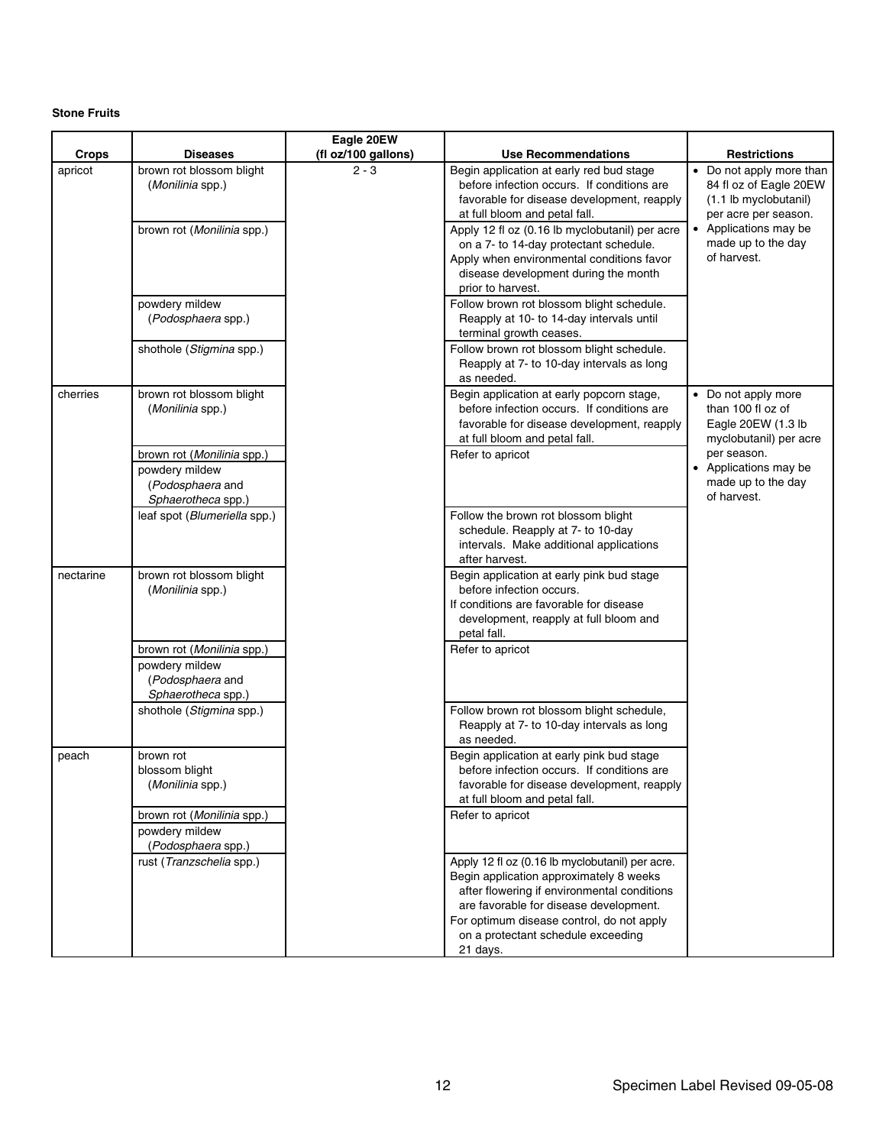# **Stone Fruits**

| <b>Diseases</b><br>brown rot blossom blight                                            | (fl oz/100 gallons)        | Use Recommendations                                                                                                                                                                                                                                                    |                                                                                                                            |
|----------------------------------------------------------------------------------------|----------------------------|------------------------------------------------------------------------------------------------------------------------------------------------------------------------------------------------------------------------------------------------------------------------|----------------------------------------------------------------------------------------------------------------------------|
| (Monilinia spp.)                                                                       | $2 - 3$                    | Begin application at early red bud stage<br>before infection occurs. If conditions are<br>favorable for disease development, reapply<br>at full bloom and petal fall.                                                                                                  | <b>Restrictions</b><br>• Do not apply more than<br>84 fl oz of Eagle 20EW<br>(1.1 lb myclobutanil)<br>per acre per season. |
|                                                                                        |                            | on a 7- to 14-day protectant schedule.<br>Apply when environmental conditions favor<br>disease development during the month<br>prior to harvest.                                                                                                                       | • Applications may be<br>made up to the day<br>of harvest.                                                                 |
| powdery mildew<br>(Podosphaera spp.)                                                   |                            | Follow brown rot blossom blight schedule.<br>Reapply at 10- to 14-day intervals until<br>terminal growth ceases.                                                                                                                                                       |                                                                                                                            |
| shothole (Stigmina spp.)                                                               |                            | Follow brown rot blossom blight schedule.<br>Reapply at 7- to 10-day intervals as long<br>as needed.                                                                                                                                                                   |                                                                                                                            |
| brown rot blossom blight<br>(Monilinia spp.)                                           |                            | Begin application at early popcorn stage,<br>before infection occurs. If conditions are<br>favorable for disease development, reapply<br>at full bloom and petal fall.                                                                                                 | • Do not apply more<br>than 100 fl oz of<br>Eagle 20EW (1.3 lb<br>myclobutanil) per acre                                   |
| brown rot (Monilinia spp.)<br>powdery mildew<br>(Podosphaera and<br>Sphaerotheca spp.) |                            | Refer to apricot                                                                                                                                                                                                                                                       | per season.<br>• Applications may be<br>made up to the day<br>of harvest.                                                  |
| leaf spot (Blumeriella spp.)                                                           |                            | Follow the brown rot blossom blight<br>schedule. Reapply at 7- to 10-day<br>intervals. Make additional applications<br>after harvest.                                                                                                                                  |                                                                                                                            |
| brown rot blossom blight<br>(Monilinia spp.)                                           |                            | Begin application at early pink bud stage<br>before infection occurs.<br>If conditions are favorable for disease<br>development, reapply at full bloom and                                                                                                             |                                                                                                                            |
| brown rot (Monilinia spp.)<br>powdery mildew<br>(Podosphaera and<br>Sphaerotheca spp.) |                            | Refer to apricot                                                                                                                                                                                                                                                       |                                                                                                                            |
| shothole (Stigmina spp.)                                                               |                            | Follow brown rot blossom blight schedule,<br>Reapply at 7- to 10-day intervals as long<br>as needed.                                                                                                                                                                   |                                                                                                                            |
| brown rot<br>blossom blight<br>(Monilinia spp.)                                        |                            | Begin application at early pink bud stage<br>before infection occurs. If conditions are<br>favorable for disease development, reapply<br>at full bloom and petal fall.                                                                                                 |                                                                                                                            |
| brown rot (Monilinia spp.)<br>powdery mildew<br>(Podosphaera spp.)                     |                            | Refer to apricot                                                                                                                                                                                                                                                       |                                                                                                                            |
| rust (Tranzschelia spp.)                                                               |                            | Apply 12 fl oz (0.16 lb myclobutanil) per acre.<br>Begin application approximately 8 weeks<br>after flowering if environmental conditions<br>are favorable for disease development.<br>For optimum disease control, do not apply<br>on a protectant schedule exceeding |                                                                                                                            |
|                                                                                        | brown rot (Monilinia spp.) |                                                                                                                                                                                                                                                                        | Apply 12 fl oz (0.16 lb myclobutanil) per acre<br>petal fall.<br>21 days.                                                  |